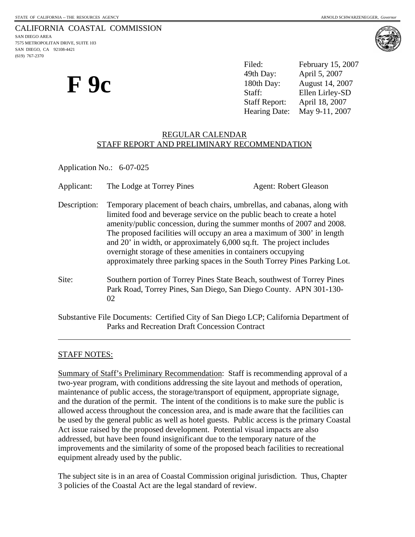# CALIFORNIA COASTAL COMMISSION

SAN DIEGO AREA 7575 METROPOLITAN DRIVE, SUITE 103 SAN DIEGO, CA 92108-4421 (619) 767-2370



**F 9c** 

Filed: February 15, 2007 49th Day: April 5, 2007 180th Day: August 14, 2007 Staff: Ellen Lirley-SD Staff Report: April 18, 2007 Hearing Date: May 9-11, 2007

### REGULAR CALENDAR STAFF REPORT AND PRELIMINARY RECOMMENDATION

Application No.: 6-07-025

| Applicant:   | The Lodge at Torrey Pines                                                                                                                                                                                                                                                                                                                                                                                                                                                                                                   | <b>Agent: Robert Gleason</b> |
|--------------|-----------------------------------------------------------------------------------------------------------------------------------------------------------------------------------------------------------------------------------------------------------------------------------------------------------------------------------------------------------------------------------------------------------------------------------------------------------------------------------------------------------------------------|------------------------------|
| Description: | Temporary placement of beach chairs, umbrellas, and cabanas, along with<br>limited food and beverage service on the public beach to create a hotel<br>amenity/public concession, during the summer months of 2007 and 2008.<br>The proposed facilities will occupy an area a maximum of 300' in length<br>and 20' in width, or approximately 6,000 sq.ft. The project includes<br>overnight storage of these amenities in containers occupying<br>approximately three parking spaces in the South Torrey Pines Parking Lot. |                              |
| Site:        | Southern portion of Torrey Pines State Beach, southwest of Torrey Pines<br>Park Road, Torrey Pines, San Diego, San Diego County. APN 301-130-<br>02                                                                                                                                                                                                                                                                                                                                                                         |                              |
|              | Substantive File Documents: Certified City of San Diego LCP; California Department of<br>Parks and Recreation Draft Concession Contract                                                                                                                                                                                                                                                                                                                                                                                     |                              |

### STAFF NOTES:

l

Summary of Staff's Preliminary Recommendation: Staff is recommending approval of a two-year program, with conditions addressing the site layout and methods of operation, maintenance of public access, the storage/transport of equipment, appropriate signage, and the duration of the permit. The intent of the conditions is to make sure the public is allowed access throughout the concession area, and is made aware that the facilities can be used by the general public as well as hotel guests. Public access is the primary Coastal Act issue raised by the proposed development. Potential visual impacts are also addressed, but have been found insignificant due to the temporary nature of the improvements and the similarity of some of the proposed beach facilities to recreational equipment already used by the public.

The subject site is in an area of Coastal Commission original jurisdiction. Thus, Chapter 3 policies of the Coastal Act are the legal standard of review.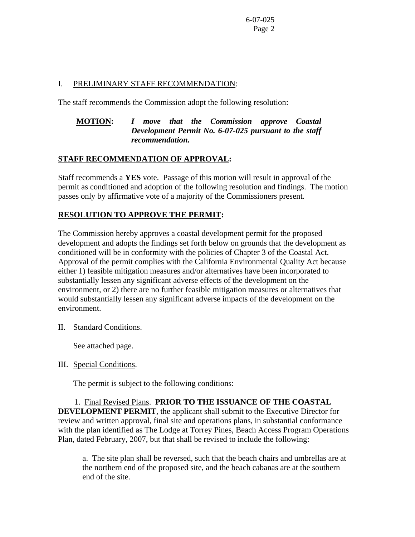### I. PRELIMINARY STAFF RECOMMENDATION:

l

The staff recommends the Commission adopt the following resolution:

# **MOTION:** *I move that the Commission approve Coastal Development Permit No. 6-07-025 pursuant to the staff recommendation.*

# **STAFF RECOMMENDATION OF APPROVAL:**

Staff recommends a **YES** vote. Passage of this motion will result in approval of the permit as conditioned and adoption of the following resolution and findings. The motion passes only by affirmative vote of a majority of the Commissioners present.

### **RESOLUTION TO APPROVE THE PERMIT:**

The Commission hereby approves a coastal development permit for the proposed development and adopts the findings set forth below on grounds that the development as conditioned will be in conformity with the policies of Chapter 3 of the Coastal Act. Approval of the permit complies with the California Environmental Quality Act because either 1) feasible mitigation measures and/or alternatives have been incorporated to substantially lessen any significant adverse effects of the development on the environment, or 2) there are no further feasible mitigation measures or alternatives that would substantially lessen any significant adverse impacts of the development on the environment.

II. Standard Conditions.

See attached page.

III. Special Conditions.

The permit is subject to the following conditions:

 1. Final Revised Plans. **PRIOR TO THE ISSUANCE OF THE COASTAL DEVELOPMENT PERMIT**, the applicant shall submit to the Executive Director for review and written approval, final site and operations plans, in substantial conformance with the plan identified as The Lodge at Torrey Pines, Beach Access Program Operations Plan, dated February, 2007, but that shall be revised to include the following:

a. The site plan shall be reversed, such that the beach chairs and umbrellas are at the northern end of the proposed site, and the beach cabanas are at the southern end of the site.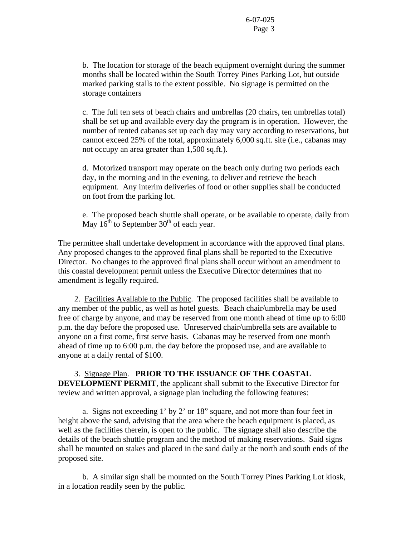b. The location for storage of the beach equipment overnight during the summer months shall be located within the South Torrey Pines Parking Lot, but outside marked parking stalls to the extent possible. No signage is permitted on the storage containers

c. The full ten sets of beach chairs and umbrellas (20 chairs, ten umbrellas total) shall be set up and available every day the program is in operation. However, the number of rented cabanas set up each day may vary according to reservations, but cannot exceed 25% of the total, approximately 6,000 sq.ft. site (i.e., cabanas may not occupy an area greater than 1,500 sq.ft.).

d. Motorized transport may operate on the beach only during two periods each day, in the morning and in the evening, to deliver and retrieve the beach equipment. Any interim deliveries of food or other supplies shall be conducted on foot from the parking lot.

e. The proposed beach shuttle shall operate, or be available to operate, daily from May  $16^{th}$  to September  $30^{th}$  of each year.

The permittee shall undertake development in accordance with the approved final plans. Any proposed changes to the approved final plans shall be reported to the Executive Director. No changes to the approved final plans shall occur without an amendment to this coastal development permit unless the Executive Director determines that no amendment is legally required.

 2. Facilities Available to the Public. The proposed facilities shall be available to any member of the public, as well as hotel guests. Beach chair/umbrella may be used free of charge by anyone, and may be reserved from one month ahead of time up to 6:00 p.m. the day before the proposed use. Unreserved chair/umbrella sets are available to anyone on a first come, first serve basis. Cabanas may be reserved from one month ahead of time up to 6:00 p.m. the day before the proposed use, and are available to anyone at a daily rental of \$100.

 3. Signage Plan. **PRIOR TO THE ISSUANCE OF THE COASTAL DEVELOPMENT PERMIT**, the applicant shall submit to the Executive Director for review and written approval, a signage plan including the following features:

a. Signs not exceeding 1' by 2' or 18" square, and not more than four feet in height above the sand, advising that the area where the beach equipment is placed, as well as the facilities therein, is open to the public. The signage shall also describe the details of the beach shuttle program and the method of making reservations. Said signs shall be mounted on stakes and placed in the sand daily at the north and south ends of the proposed site.

b. A similar sign shall be mounted on the South Torrey Pines Parking Lot kiosk, in a location readily seen by the public.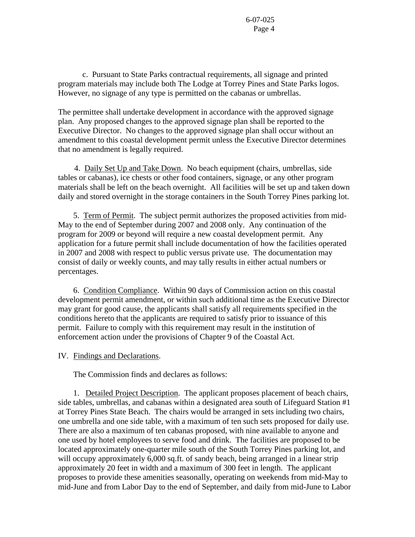c. Pursuant to State Parks contractual requirements, all signage and printed program materials may include both The Lodge at Torrey Pines and State Parks logos. However, no signage of any type is permitted on the cabanas or umbrellas.

The permittee shall undertake development in accordance with the approved signage plan. Any proposed changes to the approved signage plan shall be reported to the Executive Director. No changes to the approved signage plan shall occur without an amendment to this coastal development permit unless the Executive Director determines that no amendment is legally required.

 4. Daily Set Up and Take Down. No beach equipment (chairs, umbrellas, side tables or cabanas), ice chests or other food containers, signage, or any other program materials shall be left on the beach overnight. All facilities will be set up and taken down daily and stored overnight in the storage containers in the South Torrey Pines parking lot.

 5. Term of Permit. The subject permit authorizes the proposed activities from mid-May to the end of September during 2007 and 2008 only. Any continuation of the program for 2009 or beyond will require a new coastal development permit. Any application for a future permit shall include documentation of how the facilities operated in 2007 and 2008 with respect to public versus private use. The documentation may consist of daily or weekly counts, and may tally results in either actual numbers or percentages.

 6. Condition Compliance. Within 90 days of Commission action on this coastal development permit amendment, or within such additional time as the Executive Director may grant for good cause, the applicants shall satisfy all requirements specified in the conditions hereto that the applicants are required to satisfy prior to issuance of this permit. Failure to comply with this requirement may result in the institution of enforcement action under the provisions of Chapter 9 of the Coastal Act.

### IV. Findings and Declarations.

The Commission finds and declares as follows:

 1. Detailed Project Description. The applicant proposes placement of beach chairs, side tables, umbrellas, and cabanas within a designated area south of Lifeguard Station #1 at Torrey Pines State Beach. The chairs would be arranged in sets including two chairs, one umbrella and one side table, with a maximum of ten such sets proposed for daily use. There are also a maximum of ten cabanas proposed, with nine available to anyone and one used by hotel employees to serve food and drink. The facilities are proposed to be located approximately one-quarter mile south of the South Torrey Pines parking lot, and will occupy approximately 6,000 sq.ft. of sandy beach, being arranged in a linear strip approximately 20 feet in width and a maximum of 300 feet in length. The applicant proposes to provide these amenities seasonally, operating on weekends from mid-May to mid-June and from Labor Day to the end of September, and daily from mid-June to Labor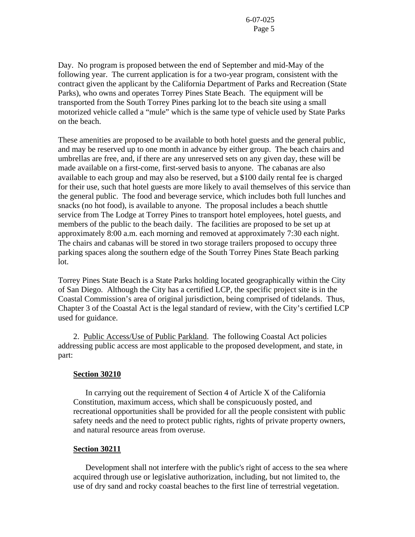Day. No program is proposed between the end of September and mid-May of the following year. The current application is for a two-year program, consistent with the contract given the applicant by the California Department of Parks and Recreation (State Parks), who owns and operates Torrey Pines State Beach. The equipment will be transported from the South Torrey Pines parking lot to the beach site using a small motorized vehicle called a "mule" which is the same type of vehicle used by State Parks on the beach.

These amenities are proposed to be available to both hotel guests and the general public, and may be reserved up to one month in advance by either group. The beach chairs and umbrellas are free, and, if there are any unreserved sets on any given day, these will be made available on a first-come, first-served basis to anyone. The cabanas are also available to each group and may also be reserved, but a \$100 daily rental fee is charged for their use, such that hotel guests are more likely to avail themselves of this service than the general public. The food and beverage service, which includes both full lunches and snacks (no hot food), is available to anyone. The proposal includes a beach shuttle service from The Lodge at Torrey Pines to transport hotel employees, hotel guests, and members of the public to the beach daily. The facilities are proposed to be set up at approximately 8:00 a.m. each morning and removed at approximately 7:30 each night. The chairs and cabanas will be stored in two storage trailers proposed to occupy three parking spaces along the southern edge of the South Torrey Pines State Beach parking lot.

Torrey Pines State Beach is a State Parks holding located geographically within the City of San Diego. Although the City has a certified LCP, the specific project site is in the Coastal Commission's area of original jurisdiction, being comprised of tidelands. Thus, Chapter 3 of the Coastal Act is the legal standard of review, with the City's certified LCP used for guidance.

 2. Public Access/Use of Public Parkland. The following Coastal Act policies addressing public access are most applicable to the proposed development, and state, in part:

### **Section 30210**

 In carrying out the requirement of Section 4 of Article X of the California Constitution, maximum access, which shall be conspicuously posted, and recreational opportunities shall be provided for all the people consistent with public safety needs and the need to protect public rights, rights of private property owners, and natural resource areas from overuse.

#### **Section 30211**

 Development shall not interfere with the public's right of access to the sea where acquired through use or legislative authorization, including, but not limited to, the use of dry sand and rocky coastal beaches to the first line of terrestrial vegetation.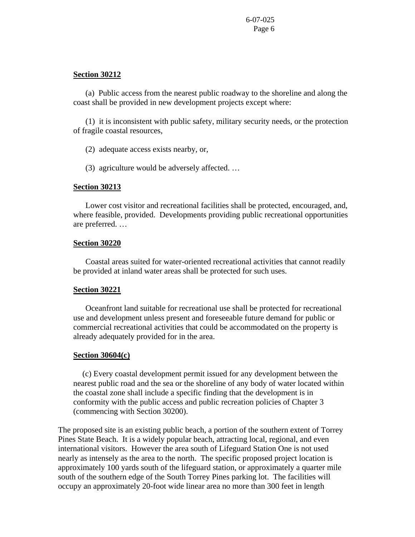### **Section 30212**

 (a) Public access from the nearest public roadway to the shoreline and along the coast shall be provided in new development projects except where:

 (1) it is inconsistent with public safety, military security needs, or the protection of fragile coastal resources,

(2) adequate access exists nearby, or,

(3) agriculture would be adversely affected. …

#### **Section 30213**

 Lower cost visitor and recreational facilities shall be protected, encouraged, and, where feasible, provided. Developments providing public recreational opportunities are preferred. …

#### **Section 30220**

 Coastal areas suited for water-oriented recreational activities that cannot readily be provided at inland water areas shall be protected for such uses.

#### **Section 30221**

 Oceanfront land suitable for recreational use shall be protected for recreational use and development unless present and foreseeable future demand for public or commercial recreational activities that could be accommodated on the property is already adequately provided for in the area.

### **Section 30604(c)**

 (c) Every coastal development permit issued for any development between the nearest public road and the sea or the shoreline of any body of water located within the coastal zone shall include a specific finding that the development is in conformity with the public access and public recreation policies of Chapter 3 (commencing with Section 30200).

The proposed site is an existing public beach, a portion of the southern extent of Torrey Pines State Beach. It is a widely popular beach, attracting local, regional, and even international visitors. However the area south of Lifeguard Station One is not used nearly as intensely as the area to the north. The specific proposed project location is approximately 100 yards south of the lifeguard station, or approximately a quarter mile south of the southern edge of the South Torrey Pines parking lot. The facilities will occupy an approximately 20-foot wide linear area no more than 300 feet in length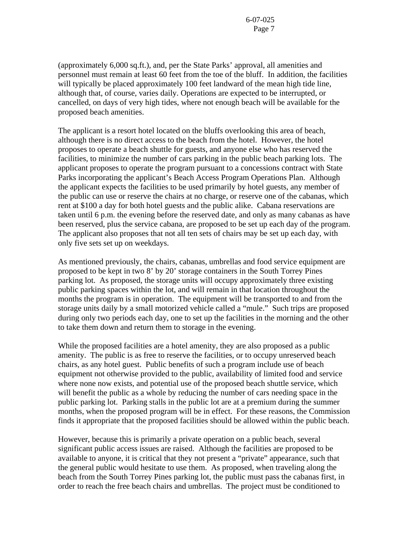(approximately 6,000 sq.ft.), and, per the State Parks' approval, all amenities and personnel must remain at least 60 feet from the toe of the bluff. In addition, the facilities will typically be placed approximately 100 feet landward of the mean high tide line, although that, of course, varies daily. Operations are expected to be interrupted, or cancelled, on days of very high tides, where not enough beach will be available for the proposed beach amenities.

The applicant is a resort hotel located on the bluffs overlooking this area of beach, although there is no direct access to the beach from the hotel. However, the hotel proposes to operate a beach shuttle for guests, and anyone else who has reserved the facilities, to minimize the number of cars parking in the public beach parking lots. The applicant proposes to operate the program pursuant to a concessions contract with State Parks incorporating the applicant's Beach Access Program Operations Plan. Although the applicant expects the facilities to be used primarily by hotel guests, any member of the public can use or reserve the chairs at no charge, or reserve one of the cabanas, which rent at \$100 a day for both hotel guests and the public alike. Cabana reservations are taken until 6 p.m. the evening before the reserved date, and only as many cabanas as have been reserved, plus the service cabana, are proposed to be set up each day of the program. The applicant also proposes that not all ten sets of chairs may be set up each day, with only five sets set up on weekdays.

As mentioned previously, the chairs, cabanas, umbrellas and food service equipment are proposed to be kept in two 8' by 20' storage containers in the South Torrey Pines parking lot. As proposed, the storage units will occupy approximately three existing public parking spaces within the lot, and will remain in that location throughout the months the program is in operation. The equipment will be transported to and from the storage units daily by a small motorized vehicle called a "mule." Such trips are proposed during only two periods each day, one to set up the facilities in the morning and the other to take them down and return them to storage in the evening.

While the proposed facilities are a hotel amenity, they are also proposed as a public amenity. The public is as free to reserve the facilities, or to occupy unreserved beach chairs, as any hotel guest. Public benefits of such a program include use of beach equipment not otherwise provided to the public, availability of limited food and service where none now exists, and potential use of the proposed beach shuttle service, which will benefit the public as a whole by reducing the number of cars needing space in the public parking lot. Parking stalls in the public lot are at a premium during the summer months, when the proposed program will be in effect. For these reasons, the Commission finds it appropriate that the proposed facilities should be allowed within the public beach.

However, because this is primarily a private operation on a public beach, several significant public access issues are raised. Although the facilities are proposed to be available to anyone, it is critical that they not present a "private" appearance, such that the general public would hesitate to use them. As proposed, when traveling along the beach from the South Torrey Pines parking lot, the public must pass the cabanas first, in order to reach the free beach chairs and umbrellas. The project must be conditioned to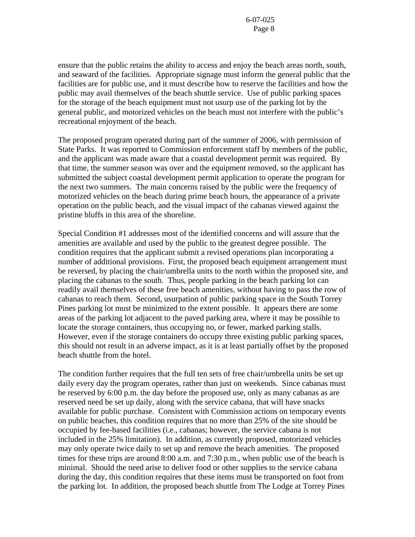ensure that the public retains the ability to access and enjoy the beach areas north, south, and seaward of the facilities. Appropriate signage must inform the general public that the facilities are for public use, and it must describe how to reserve the facilities and how the public may avail themselves of the beach shuttle service. Use of public parking spaces for the storage of the beach equipment must not usurp use of the parking lot by the general public, and motorized vehicles on the beach must not interfere with the public's recreational enjoyment of the beach.

The proposed program operated during part of the summer of 2006, with permission of State Parks. It was reported to Commission enforcement staff by members of the public, and the applicant was made aware that a coastal development permit was required. By that time, the summer season was over and the equipment removed, so the applicant has submitted the subject coastal development permit application to operate the program for the next two summers. The main concerns raised by the public were the frequency of motorized vehicles on the beach during prime beach hours, the appearance of a private operation on the public beach, and the visual impact of the cabanas viewed against the pristine bluffs in this area of the shoreline.

Special Condition #1 addresses most of the identified concerns and will assure that the amenities are available and used by the public to the greatest degree possible. The condition requires that the applicant submit a revised operations plan incorporating a number of additional provisions. First, the proposed beach equipment arrangement must be reversed, by placing the chair/umbrella units to the north within the proposed site, and placing the cabanas to the south. Thus, people parking in the beach parking lot can readily avail themselves of these free beach amenities, without having to pass the row of cabanas to reach them. Second, usurpation of public parking space in the South Torrey Pines parking lot must be minimized to the extent possible. It appears there are some areas of the parking lot adjacent to the paved parking area, where it may be possible to locate the storage containers, thus occupying no, or fewer, marked parking stalls. However, even if the storage containers do occupy three existing public parking spaces, this should not result in an adverse impact, as it is at least partially offset by the proposed beach shuttle from the hotel.

The condition further requires that the full ten sets of free chair/umbrella units be set up daily every day the program operates, rather than just on weekends. Since cabanas must be reserved by 6:00 p.m. the day before the proposed use, only as many cabanas as are reserved need be set up daily, along with the service cabana, that will have snacks available for public purchase. Consistent with Commission actions on temporary events on public beaches, this condition requires that no more than 25% of the site should be occupied by fee-based facilities (i.e., cabanas; however, the service cabana is not included in the 25% limitation). In addition, as currently proposed, motorized vehicles may only operate twice daily to set up and remove the beach amenities. The proposed times for these trips are around 8:00 a.m. and 7:30 p.m., when public use of the beach is minimal. Should the need arise to deliver food or other supplies to the service cabana during the day, this condition requires that these items must be transported on foot from the parking lot. In addition, the proposed beach shuttle from The Lodge at Torrey Pines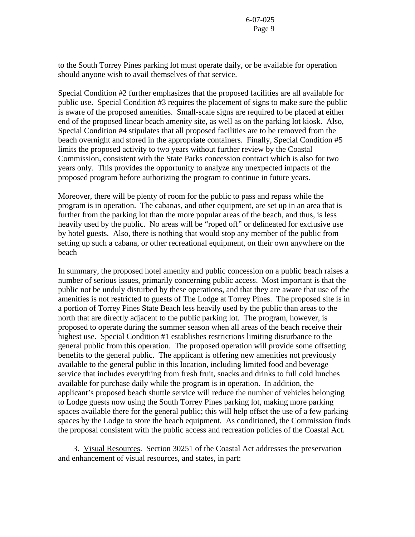to the South Torrey Pines parking lot must operate daily, or be available for operation should anyone wish to avail themselves of that service.

Special Condition #2 further emphasizes that the proposed facilities are all available for public use. Special Condition #3 requires the placement of signs to make sure the public is aware of the proposed amenities. Small-scale signs are required to be placed at either end of the proposed linear beach amenity site, as well as on the parking lot kiosk. Also, Special Condition #4 stipulates that all proposed facilities are to be removed from the beach overnight and stored in the appropriate containers. Finally, Special Condition #5 limits the proposed activity to two years without further review by the Coastal Commission, consistent with the State Parks concession contract which is also for two years only. This provides the opportunity to analyze any unexpected impacts of the proposed program before authorizing the program to continue in future years.

Moreover, there will be plenty of room for the public to pass and repass while the program is in operation. The cabanas, and other equipment, are set up in an area that is further from the parking lot than the more popular areas of the beach, and thus, is less heavily used by the public. No areas will be "roped off" or delineated for exclusive use by hotel guests. Also, there is nothing that would stop any member of the public from setting up such a cabana, or other recreational equipment, on their own anywhere on the beach

In summary, the proposed hotel amenity and public concession on a public beach raises a number of serious issues, primarily concerning public access. Most important is that the public not be unduly disturbed by these operations, and that they are aware that use of the amenities is not restricted to guests of The Lodge at Torrey Pines. The proposed site is in a portion of Torrey Pines State Beach less heavily used by the public than areas to the north that are directly adjacent to the public parking lot. The program, however, is proposed to operate during the summer season when all areas of the beach receive their highest use. Special Condition #1 establishes restrictions limiting disturbance to the general public from this operation. The proposed operation will provide some offsetting benefits to the general public. The applicant is offering new amenities not previously available to the general public in this location, including limited food and beverage service that includes everything from fresh fruit, snacks and drinks to full cold lunches available for purchase daily while the program is in operation. In addition, the applicant's proposed beach shuttle service will reduce the number of vehicles belonging to Lodge guests now using the South Torrey Pines parking lot, making more parking spaces available there for the general public; this will help offset the use of a few parking spaces by the Lodge to store the beach equipment. As conditioned, the Commission finds the proposal consistent with the public access and recreation policies of the Coastal Act.

 3. Visual Resources. Section 30251 of the Coastal Act addresses the preservation and enhancement of visual resources, and states, in part: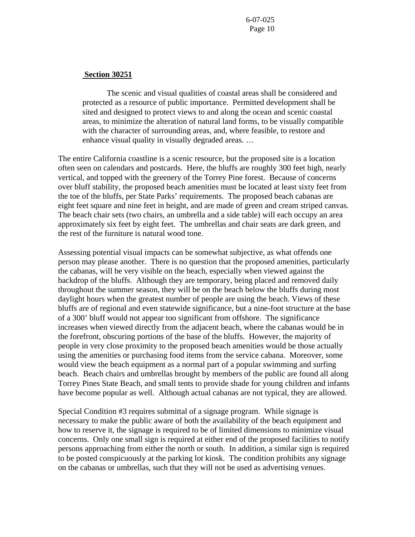### **Section 30251**

 The scenic and visual qualities of coastal areas shall be considered and protected as a resource of public importance. Permitted development shall be sited and designed to protect views to and along the ocean and scenic coastal areas, to minimize the alteration of natural land forms, to be visually compatible with the character of surrounding areas, and, where feasible, to restore and enhance visual quality in visually degraded areas. …

The entire California coastline is a scenic resource, but the proposed site is a location often seen on calendars and postcards. Here, the bluffs are roughly 300 feet high, nearly vertical, and topped with the greenery of the Torrey Pine forest. Because of concerns over bluff stability, the proposed beach amenities must be located at least sixty feet from the toe of the bluffs, per State Parks' requirements. The proposed beach cabanas are eight feet square and nine feet in height, and are made of green and cream striped canvas. The beach chair sets (two chairs, an umbrella and a side table) will each occupy an area approximately six feet by eight feet. The umbrellas and chair seats are dark green, and the rest of the furniture is natural wood tone.

Assessing potential visual impacts can be somewhat subjective, as what offends one person may please another. There is no question that the proposed amenities, particularly the cabanas, will be very visible on the beach, especially when viewed against the backdrop of the bluffs. Although they are temporary, being placed and removed daily throughout the summer season, they will be on the beach below the bluffs during most daylight hours when the greatest number of people are using the beach. Views of these bluffs are of regional and even statewide significance, but a nine-foot structure at the base of a 300' bluff would not appear too significant from offshore. The significance increases when viewed directly from the adjacent beach, where the cabanas would be in the forefront, obscuring portions of the base of the bluffs. However, the majority of people in very close proximity to the proposed beach amenities would be those actually using the amenities or purchasing food items from the service cabana. Moreover, some would view the beach equipment as a normal part of a popular swimming and surfing beach. Beach chairs and umbrellas brought by members of the public are found all along Torrey Pines State Beach, and small tents to provide shade for young children and infants have become popular as well. Although actual cabanas are not typical, they are allowed.

Special Condition #3 requires submittal of a signage program. While signage is necessary to make the public aware of both the availability of the beach equipment and how to reserve it, the signage is required to be of limited dimensions to minimize visual concerns. Only one small sign is required at either end of the proposed facilities to notify persons approaching from either the north or south. In addition, a similar sign is required to be posted conspicuously at the parking lot kiosk. The condition prohibits any signage on the cabanas or umbrellas, such that they will not be used as advertising venues.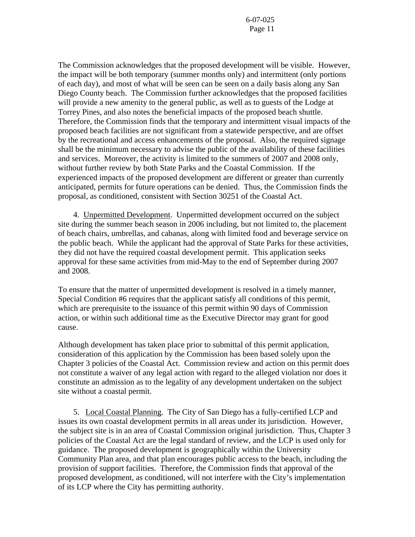The Commission acknowledges that the proposed development will be visible. However, the impact will be both temporary (summer months only) and intermittent (only portions of each day), and most of what will be seen can be seen on a daily basis along any San Diego County beach. The Commission further acknowledges that the proposed facilities will provide a new amenity to the general public, as well as to guests of the Lodge at Torrey Pines, and also notes the beneficial impacts of the proposed beach shuttle. Therefore, the Commission finds that the temporary and intermittent visual impacts of the proposed beach facilities are not significant from a statewide perspective, and are offset by the recreational and access enhancements of the proposal. Also, the required signage shall be the minimum necessary to advise the public of the availability of these facilities and services. Moreover, the activity is limited to the summers of 2007 and 2008 only, without further review by both State Parks and the Coastal Commission. If the experienced impacts of the proposed development are different or greater than currently anticipated, permits for future operations can be denied. Thus, the Commission finds the proposal, as conditioned, consistent with Section 30251 of the Coastal Act.

 4. Unpermitted Development. Unpermitted development occurred on the subject site during the summer beach season in 2006 including, but not limited to, the placement of beach chairs, umbrellas, and cabanas, along with limited food and beverage service on the public beach. While the applicant had the approval of State Parks for these activities, they did not have the required coastal development permit. This application seeks approval for these same activities from mid-May to the end of September during 2007 and 2008.

To ensure that the matter of unpermitted development is resolved in a timely manner, Special Condition #6 requires that the applicant satisfy all conditions of this permit, which are prerequisite to the issuance of this permit within 90 days of Commission action, or within such additional time as the Executive Director may grant for good cause.

Although development has taken place prior to submittal of this permit application, consideration of this application by the Commission has been based solely upon the Chapter 3 policies of the Coastal Act. Commission review and action on this permit does not constitute a waiver of any legal action with regard to the alleged violation nor does it constitute an admission as to the legality of any development undertaken on the subject site without a coastal permit.

 5. Local Coastal Planning. The City of San Diego has a fully-certified LCP and issues its own coastal development permits in all areas under its jurisdiction. However, the subject site is in an area of Coastal Commission original jurisdiction. Thus, Chapter 3 policies of the Coastal Act are the legal standard of review, and the LCP is used only for guidance. The proposed development is geographically within the University Community Plan area, and that plan encourages public access to the beach, including the provision of support facilities. Therefore, the Commission finds that approval of the proposed development, as conditioned, will not interfere with the City's implementation of its LCP where the City has permitting authority.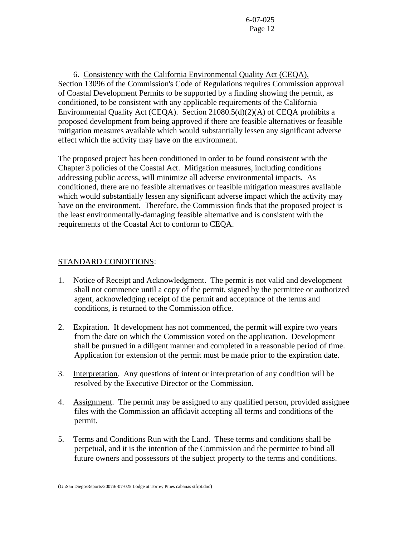6. Consistency with the California Environmental Quality Act (CEQA). Section 13096 of the Commission's Code of Regulations requires Commission approval of Coastal Development Permits to be supported by a finding showing the permit, as conditioned, to be consistent with any applicable requirements of the California Environmental Quality Act (CEQA). Section 21080.5(d)(2)(A) of CEQA prohibits a proposed development from being approved if there are feasible alternatives or feasible mitigation measures available which would substantially lessen any significant adverse effect which the activity may have on the environment.

The proposed project has been conditioned in order to be found consistent with the Chapter 3 policies of the Coastal Act. Mitigation measures, including conditions addressing public access, will minimize all adverse environmental impacts. As conditioned, there are no feasible alternatives or feasible mitigation measures available which would substantially lessen any significant adverse impact which the activity may have on the environment. Therefore, the Commission finds that the proposed project is the least environmentally-damaging feasible alternative and is consistent with the requirements of the Coastal Act to conform to CEQA.

# STANDARD CONDITIONS:

- 1. Notice of Receipt and Acknowledgment. The permit is not valid and development shall not commence until a copy of the permit, signed by the permittee or authorized agent, acknowledging receipt of the permit and acceptance of the terms and conditions, is returned to the Commission office.
- 2. Expiration. If development has not commenced, the permit will expire two years from the date on which the Commission voted on the application. Development shall be pursued in a diligent manner and completed in a reasonable period of time. Application for extension of the permit must be made prior to the expiration date.
- 3. Interpretation. Any questions of intent or interpretation of any condition will be resolved by the Executive Director or the Commission.
- 4. Assignment. The permit may be assigned to any qualified person, provided assignee files with the Commission an affidavit accepting all terms and conditions of the permit.
- 5. Terms and Conditions Run with the Land. These terms and conditions shall be perpetual, and it is the intention of the Commission and the permittee to bind all future owners and possessors of the subject property to the terms and conditions.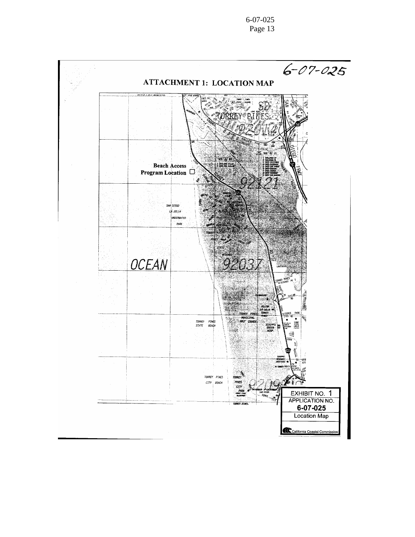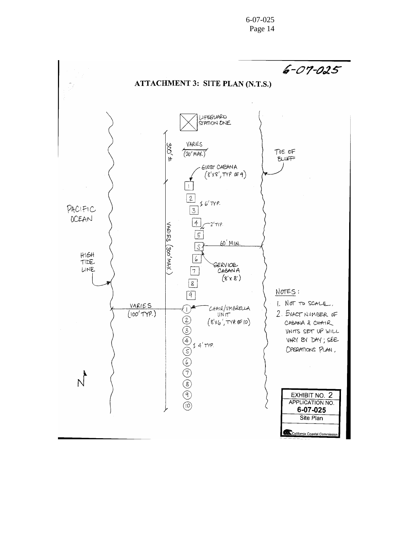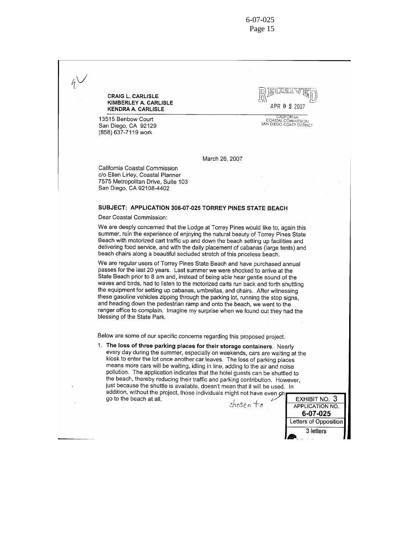$6 - 07 - 025$ Page 15

**CRAIG L. CARLISLE** KIMBERLEY A. CARLISLE **KENDRA A. CARLISLE** 

13515 Benbow Court San Diego, CA 92129 (858) 637-7119 work

APR 0 2 2007

CALIFORNIA<br>COASTAL COMMISSION<br>SAN DIEGO COAST DISTRICT

March 26, 2007

California Coastal Commission c/o Ellen Lirley, Coastal Planner 7575 Metropolitan Drive, Suite 103 San Diego, CA 92108-4402

#### SUBJECT: APPLICATION 306-07-025 TORREY PINES STATE BEACH

Dear Coastal Commission:

We are deeply concerned that the Lodge at Torrey Pines would like to, again this summer, ruin the experience of enjoying the natural beauty of Torrey Pines State Beach with motorized cart traffic up and down the beach setting up facilities and delivering food service, and with the daily placement of cabanas (large tents) and beach chairs along a beautiful secluded stretch of this priceless beach.

We are regular users of Torrey Pines State Beach and have purchased annual passes for the last 20 years. Last summer we were shocked to arrive at the State Beach prior to 8 am and, instead of being able hear gentle sound of the waves and birds, had to listen to the motorized carts run back and forth shuttling the equipment for setting up cabanas, umbrellas, and chairs. After witnessing these gasoline vehicles zipping through the parking lot, running the stop signs. and heading down the pedestrian ramp and onto the beach, we went to the ranger office to complain. Imagine my surprise when we found out they had the blessing of the State Park.

Below are some of our specific concerns regarding this proposed project.

1. The loss of three parking places for their storage containers. Nearly every day during the summer, especially on weekends, cars are waiting at the kiosk to enter the lot once another car leaves. The loss of parking places means more cars will be waiting, idling in line, adding to the air and noise pollution. The application indicates that the hotel guests can be shuttled to the beach, thereby reducing their traffic and parking contribution. However, just because the shuttle is available, doesn't mean that it will be used. In addition, without the project, those individuals might not have even ch go to the beach at all. EXHIBIT NO. 3

chosen Fo APPLICATION NO.

6-07-025 Letters of Opposition 3 letters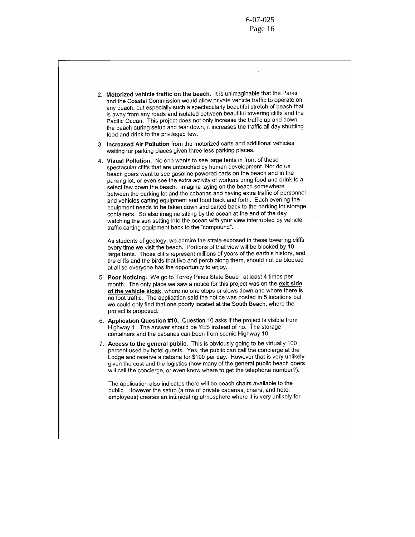

- 3. Increased Air Pollution from the motorized carts and additional vehicles waiting for parking places given three less parking places.
- 4. Visual Pollution. No one wants to see large tents in front of these spectacular cliffs that are untouched by human development. Nor do us beach goers want to see gasoline powered carts on the beach and in the parking lot, or even see the extra activity of workers bring food and drink to a select few down the beach. Imagine laying on the beach somewhere between the parking lot and the cabanas and having extra traffic of personnel and vehicles carting equipment and food back and forth. Each evening the equipment needs to be taken down and carted back to the parking lot storage containers. So also imagine sitting by the ocean at the end of the day watching the sun setting into the ocean with your view interrupted by vehicle traffic carting equipment back to the "compound".

As students of geology, we admire the strata exposed in these towering cliffs every time we visit the beach. Portions of that view will be blocked by 10 large tents. Those cliffs represent millions of years of the earth's history, and the cliffs and the birds that live and perch along them, should not be blocked at all so everyone has the opportunity to enjoy.

- 5. Poor Noticing. We go to Torrey Pines State Beach at least 4 times per month. The only place we saw a notice for this project was on the exit side of the vehicle kiosk, where no one stops or slows down and where there is no foot traffic. The application said the notice was posted in 5 locations but we could only find that one poorly located at the South Beach, where the project is proposed.
- 6. Application Question #10. Question 10 asks if the project is visible from Highway 1. The answer should be YES instead of no. The storage containers and the cabanas can been from scenic Highway 10.
- 7. Access to the general public. This is obviously going to be virtually 100 percent used by hotel guests. Yes, the public can call the concierge at the Lodge and reserve a cabana for \$100 per day. However that is very unlikely given the cost and the logistics (how many of the general public beach goers will call the concierge, or even know where to get the telephone number?).

The application also indicates there will be beach chairs available to the public. However the setup (a row of private cabanas, chairs, and hotel employees) creates an intimidating atmosphere where it is very unlikely for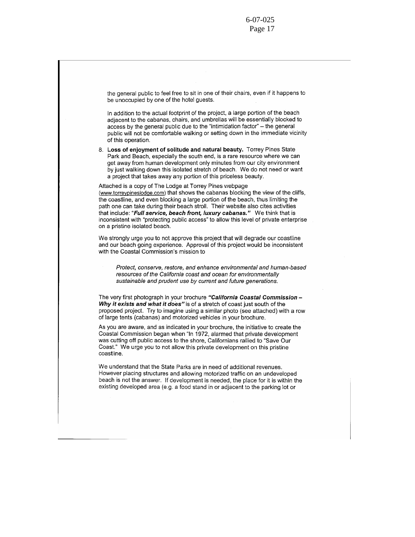the general public to feel free to sit in one of their chairs, even if it happens to be unoccupied by one of the hotel guests.

In addition to the actual footprint of the project, a large portion of the beach adjacent to the cabanas, chairs, and umbrellas will be essentially blocked to access by the general public due to the "intimidation factor" - the general public will not be comfortable walking or setting down in the immediate vicinity of this operation.

8. Loss of enjoyment of solitude and natural beauty. Torrey Pines State Park and Beach, especially the south end, is a rare resource where we can get away from human development only minutes from our city environment by just walking down this isolated stretch of beach. We do not need or want a project that takes away any portion of this priceless beauty.

Attached is a copy of The Lodge at Torrey Pines webpage (www.torreypineslodge.com) that shows the cabanas blocking the view of the cliffs, the coastline, and even blocking a large portion of the beach, thus limiting the path one can take during their beach stroll. Their website also cites activities that include: "Full service, beach front, luxury cabanas." We think that is inconsistent with "protecting public access" to allow this level of private enterprise on a pristine isolated beach.

We strongly urge you to not approve this project that will degrade our coastline and our beach going experience. Approval of this project would be inconsistent with the Coastal Commission's mission to

Protect, conserve, restore, and enhance environmental and human-based resources of the California coast and ocean for environmentally sustainable and prudent use by current and future generations.

The very first photograph in your brochure "California Coastal Commission -Why it exists and what it does" is of a stretch of coast just south of the proposed project. Try to imagine using a similar photo (see attached) with a row of large tents (cabanas) and motorized vehicles in your brochure.

As you are aware, and as indicated in your brochure, the initiative to create the Coastal Commission began when "In 1972, alarmed that private development was cutting off public access to the shore, Californians rallied to "Save Our Coast." We urge you to not allow this private development on this pristine coastline.

We understand that the State Parks are in need of additional revenues. However placing structures and allowing motorized traffic on an undeveloped beach is not the answer. If development is needed, the place for it is within the existing developed area (e.g. a food stand in or adjacent to the parking lot or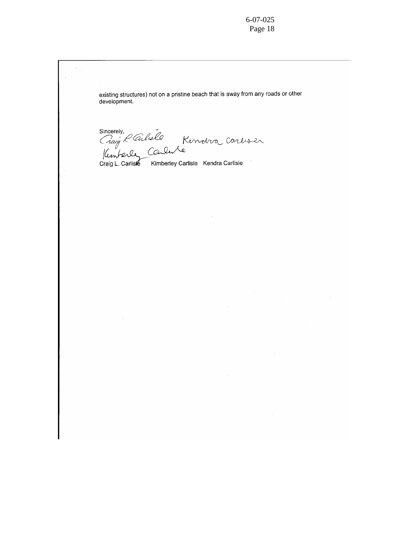existing structures) not on a pristine beach that is away from any roads or other development. Sincerely,<br>Craig Karlisle Kerrotra Carliser<br>Craig L. Carlisle Kimberley Carlisle Kendra Carlisle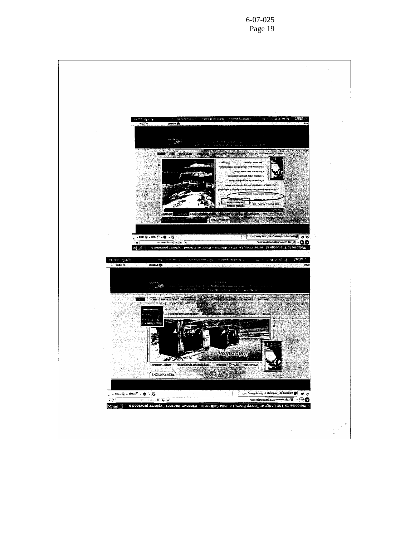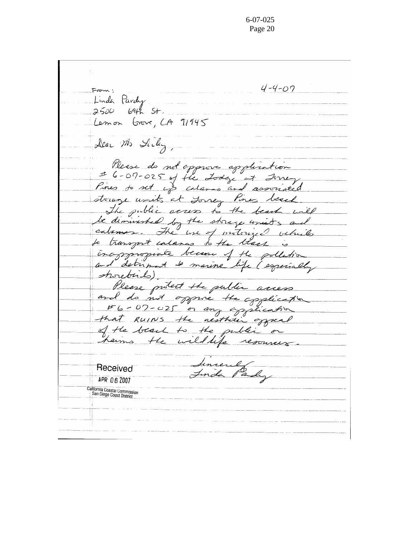$4 - 4 - 07$ From: Linda Parchy  $2500$  69th St. Lemon Grove, CA 11945 Dear Mr Silly, Please de not opprove application The public acress to the beach will be diminished by the strage unists a calames. The use of motorized vehicles to transport calaras to the track is inappropriate became of the pollution stwebuds) Please protect the public access and do not oppone the application of the beach to the public or Sincerely Received APR 06 2007 California Coastal Commission<br>San Diego Coast District